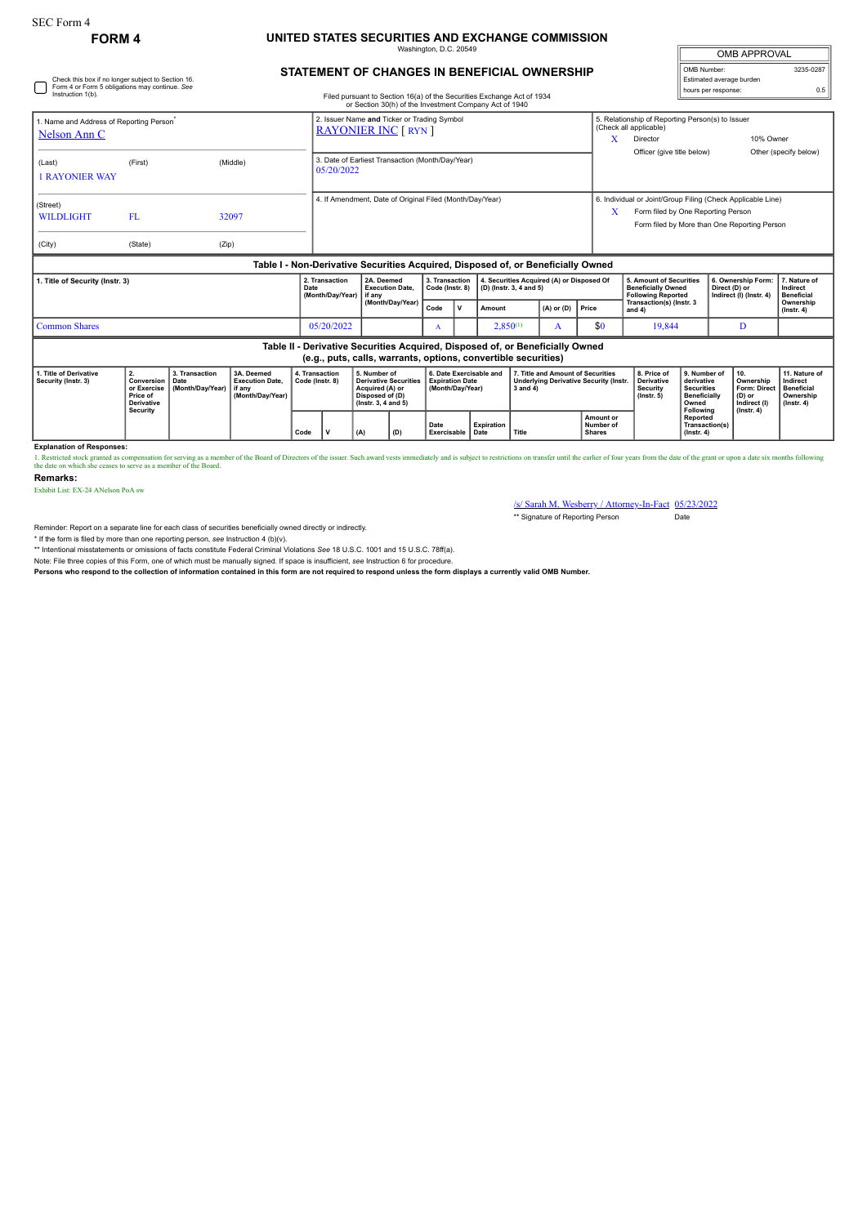## **FORM 4 UNITED STATES SECURITIES AND EXCHANGE COMMISSION** Washington, D.C. 20549

| <b>OMB APPROVAL</b>      |           |  |  |  |  |  |  |
|--------------------------|-----------|--|--|--|--|--|--|
| OMB Number:              | 3235-0287 |  |  |  |  |  |  |
| Estimated average burden |           |  |  |  |  |  |  |
| hours per response:      | 0.5       |  |  |  |  |  |  |

## **STATEMENT OF CHANGES IN BENEFICIAL OWNERSHIP**

| Check this box if no longer subject to Section 16.<br>Form 4 or Form 5 obligations may continue. See<br>Instruction 1(b). |                                                                                     |                                            |                                                                                  | Filed pursuant to Section 16(a) of the Securities Exchange Act of 1934<br>or Section 30(h) of the Investment Company Act of 1940 |                                                                            |                                                                                                                 |                                                                |                                                                       |                                                                      |                           |                                                                                                     |                                                                                   |                            |                                                                                                                                                   | Estimated average burden<br>hours per response:                                                          | 0.5                                                                                   |                                                                                 |  |
|---------------------------------------------------------------------------------------------------------------------------|-------------------------------------------------------------------------------------|--------------------------------------------|----------------------------------------------------------------------------------|----------------------------------------------------------------------------------------------------------------------------------|----------------------------------------------------------------------------|-----------------------------------------------------------------------------------------------------------------|----------------------------------------------------------------|-----------------------------------------------------------------------|----------------------------------------------------------------------|---------------------------|-----------------------------------------------------------------------------------------------------|-----------------------------------------------------------------------------------|----------------------------|---------------------------------------------------------------------------------------------------------------------------------------------------|----------------------------------------------------------------------------------------------------------|---------------------------------------------------------------------------------------|---------------------------------------------------------------------------------|--|
| 1. Name and Address of Reporting Person <sup>®</sup><br>Nelson Ann C                                                      |                                                                                     |                                            |                                                                                  |                                                                                                                                  | 2. Issuer Name and Ticker or Trading Symbol<br><b>RAYONIER INC [ RYN ]</b> |                                                                                                                 |                                                                |                                                                       |                                                                      |                           |                                                                                                     |                                                                                   | x                          | 5. Relationship of Reporting Person(s) to Issuer<br>(Check all applicable)<br>10% Owner<br>Director                                               |                                                                                                          |                                                                                       |                                                                                 |  |
| (Last)<br><b>1 RAYONIER WAY</b>                                                                                           | (First)                                                                             |                                            | (Middle)                                                                         |                                                                                                                                  | 3. Date of Earliest Transaction (Month/Day/Year)<br>05/20/2022             |                                                                                                                 |                                                                |                                                                       |                                                                      |                           |                                                                                                     |                                                                                   |                            | Officer (give title below)                                                                                                                        |                                                                                                          |                                                                                       | Other (specify below)                                                           |  |
| (Street)<br><b>WILDLIGHT</b><br>(City)                                                                                    | FL.<br>(State)                                                                      | (Zip)                                      | 32097                                                                            |                                                                                                                                  | 4. If Amendment, Date of Original Filed (Month/Day/Year)                   |                                                                                                                 |                                                                |                                                                       |                                                                      |                           |                                                                                                     |                                                                                   | X                          | 6. Individual or Joint/Group Filing (Check Applicable Line)<br>Form filed by One Reporting Person<br>Form filed by More than One Reporting Person |                                                                                                          |                                                                                       |                                                                                 |  |
|                                                                                                                           |                                                                                     |                                            | Table I - Non-Derivative Securities Acquired, Disposed of, or Beneficially Owned |                                                                                                                                  |                                                                            |                                                                                                                 |                                                                |                                                                       |                                                                      |                           |                                                                                                     |                                                                                   |                            |                                                                                                                                                   |                                                                                                          |                                                                                       |                                                                                 |  |
| 1. Title of Security (Instr. 3)                                                                                           |                                                                                     |                                            | Date                                                                             | 2. Transaction<br>(Month/Day/Year)                                                                                               | 2A. Deemed<br><b>Execution Date.</b><br>if anv                             |                                                                                                                 | 3. Transaction<br>Code (Instr. 8)                              |                                                                       | 4. Securities Acquired (A) or Disposed Of<br>(D) (Instr. 3, 4 and 5) |                           |                                                                                                     | 5. Amount of Securities<br><b>Beneficially Owned</b><br><b>Following Reported</b> |                            | 6. Ownership Form:<br>Direct (D) or<br>Indirect (I) (Instr. 4)                                                                                    | 7. Nature of<br>Indirect<br><b>Beneficial</b>                                                            |                                                                                       |                                                                                 |  |
|                                                                                                                           |                                                                                     |                                            |                                                                                  |                                                                                                                                  |                                                                            |                                                                                                                 | (Month/Day/Year)                                               | Code                                                                  | v                                                                    | Amount                    |                                                                                                     | $(A)$ or $(D)$                                                                    | Price                      | Transaction(s) (Instr. 3<br>and 4)                                                                                                                |                                                                                                          |                                                                                       | Ownership<br>$($ lnstr. 4 $)$                                                   |  |
| <b>Common Shares</b>                                                                                                      |                                                                                     |                                            |                                                                                  |                                                                                                                                  | 05/20/2022                                                                 |                                                                                                                 |                                                                | A                                                                     |                                                                      | $2,850^{(1)}$             |                                                                                                     | A                                                                                 | \$0                        | 19,844                                                                                                                                            |                                                                                                          | D                                                                                     |                                                                                 |  |
|                                                                                                                           |                                                                                     |                                            |                                                                                  |                                                                                                                                  |                                                                            |                                                                                                                 | (e.g., puts, calls, warrants, options, convertible securities) |                                                                       |                                                                      |                           |                                                                                                     | Table II - Derivative Securities Acquired, Disposed of, or Beneficially Owned     |                            |                                                                                                                                                   |                                                                                                          |                                                                                       |                                                                                 |  |
| 1. Title of Derivative<br>Security (Instr. 3)                                                                             | 2.<br>Conversion<br>or Exercise<br>Price of<br><b>Derivative</b><br><b>Security</b> | 3. Transaction<br>Date<br>(Month/Day/Year) | 3A. Deemed<br><b>Execution Date.</b><br>if any<br>(Month/Dav/Year)               | 4. Transaction<br>Code (Instr. 8)                                                                                                |                                                                            | 5. Number of<br><b>Derivative Securities</b><br>Acquired (A) or<br>Disposed of (D)<br>$($ lnstr. 3, 4 and 5 $)$ |                                                                | 6. Date Exercisable and<br><b>Expiration Date</b><br>(Month/Day/Year) |                                                                      |                           | 7. Title and Amount of Securities<br><b>Underlying Derivative Security (Instr.</b><br>$3$ and $4$ ) |                                                                                   | Amount or                  | 8. Price of<br><b>Derivative</b><br><b>Security</b><br>$($ lnstr. $5)$                                                                            | 9. Number of<br>derivative<br><b>Securities</b><br><b>Beneficially</b><br>Owned<br>Following<br>Reported | 10.<br>Ownership<br><b>Form: Direct</b><br>(D) or<br>Indirect (I)<br>$($ lnstr. 4 $)$ | 11. Nature of<br>Indirect<br><b>Beneficial</b><br>Ownership<br>$($ Instr. 4 $)$ |  |
|                                                                                                                           |                                                                                     |                                            |                                                                                  | Code                                                                                                                             |                                                                            | (A)                                                                                                             | (D)                                                            | Date<br>Exercisable                                                   |                                                                      | <b>Expiration</b><br>Date | Title                                                                                               |                                                                                   | Number of<br><b>Shares</b> |                                                                                                                                                   | Transaction(s)<br>$($ lnstr. 4 $)$                                                                       |                                                                                       |                                                                                 |  |

**Explanation of Responses:**

1. Restricted stock granted as compensation for serving as a member of the Board of Directors of the issuer. Such award vests immediately and is subject to restrictions on transfer until the earlier of four years from the

**Remarks:**

Exhibit List: EX-24 ANelson PoA sw

/s/ Sarah M. Wesberry / Attorney-In-Fact 05/23/2022 \*\* Signature of Reporting Person Date

Reminder: Report on a separate line for each class of securities beneficially owned directly or indirectly.

\* If the form is filed by more than one reporting person, *see* Instruction 4 (b)(v).

\*\* Intentional misstatements or omissions of facts constitute Federal Criminal Violations See 18 U.S.C. 1001 and 15 U.S.C. 78ff(a).<br>Note: File three copies of this Form, one of which must be manually signed is insuffacting